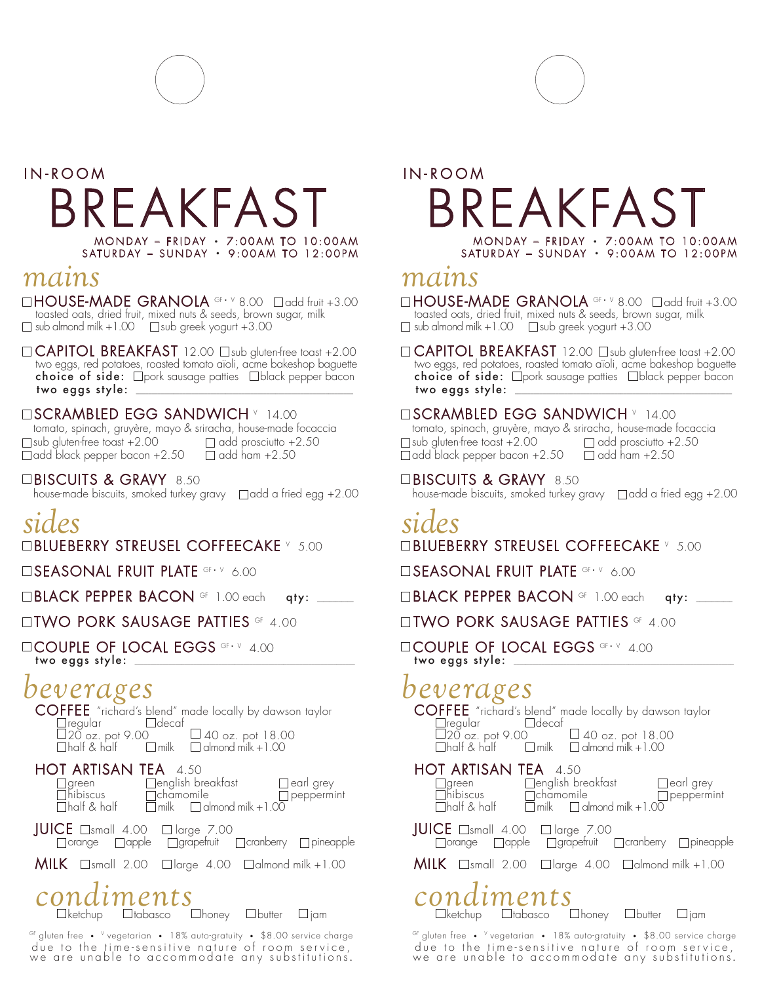# IN-ROOM BREAKFAST MONDAY – FRIDAY • 7:00AM TO 10:00AM SATURDAY – SUNDAY • 9:00AM TO 12:00PM

## *mains*

 $\Box$  HOUSE-MADE GRANOLA  $G_{F} \cdot V$  8.00  $\Box$  add fruit +3.00 toasted oats, dried fruit, mixed nuts & seeds, brown sugar, milk  $\Box$  sub almond milk  $+1.00$   $\Box$  sub greek yogurt  $+3.00$ 

 $\Box$  CAPITOL BREAKFAST 12.00  $\Box$ sub gluten-free toast +2.00 two eggs, red potatoes, roasted tomato aïoli, acme bakeshop baguette choice of side:  $\Box$  pork sausage patties  $\Box$  black pepper bacon two eggs style:

### **EISCRAMBLED EGG SANDWICH** V 14.00

 tomato, spinach, gruyère, mayo & sriracha, house-made focaccia  $\Box$ sub gluten-free toast +2.00  $\Box$  add prosciutto +2.50  $\Box$  add black pepper bacon +2.50  $\Box$  add ham +2.50

□BISCUITS & GRAVY 8.50

house-made biscuits, smoked turkey gravy  $\Box$  add a fried egg  $+2.00$ 

# *sides*

 $\Box$ BLUEBERRY STREUSEL COFFEECAKE <code>v 5.00</code>

**SEASONAL FRUIT PLATE OF · Y 6.00** 

□BLACK PEPPER BACON <sup>GF</sup> 1.00 each qty:

**OTWO PORK SAUSAGE PATTIES OF 4.00** 

**COUPLE OF LOCAL EGGS OF V 4.00** two eggs style: \_

## l *beverages*

COFFEE "richard's blend" made locally by dawson taylor<br>
<u>Fregular</u> Eldecaf Fregular E<br>20 oz. pot 9.00  $\Box$ 20 oz. pot 9.00  $\Box$  40 oz. pot 18.00<br>  $\Box$ half & half  $\Box$  milk  $\Box$  almond milk +1.00

 $\Box$  almond milk  $+1.00$ 

| <b>HOT ARTISAN TEA</b> 4.50 |                                                  |                   |
|-----------------------------|--------------------------------------------------|-------------------|
| green                       | $\Box$ english breakfast                         | $\Box$ earl grey  |
| $\Box$ hibiscus             | $\Box$ chamomile                                 | $\Box$ peppermint |
| $\Box$ half & half          | $\overline{\Box}$ milk $\Box$ almond milk + 1.00 |                   |

 $JUICE$   $\Box$ small 4.00  $\Box$  large 7.00  $\Box$ orange  $\Box$ apple  $\Box$ grapefruit  $\Box$ cranberry  $\Box$ pineapple

**MILK**  $\Box$ small 2.00  $\Box$ large 4.00  $\Box$ almond milk +1.00

# *condiments*

 $\square$ tabasco  $\square$ honey  $\square$ butter  $\square$ jam

GF gluten free • V vegetarian • 18% auto-gratuity • \$8.00 service charge due to the time-sensitive nature of room service, we are unable to accommodate any substitutions.

# IN-ROOM FAKFAST MONDAY – FRIDAY • 7:00AM TO 10:00AM SATURDAY – SUNDAY • 9:00AM TO 12:00PM

## *mains*

 $\Box$ HOUSE-MADE GRANOLA  $G \rightarrow V 8.00$   $\Box$ add fruit +3.00 toasted oats, dried fruit, mixed nuts & seeds, brown sugar, milk  $\Box$  sub almond milk  $+1.00$   $\Box$  sub greek yogurt  $+3.00$ 

 $\Box$  CAPITOL BREAKFAST 12.00  $\Box$ sub gluten-free toast +2.00 two eggs, red potatoes, roasted tomato aïoli, acme bakeshop baguette choice of side:  $\Box$  pork sausage patties  $\Box$  black pepper bacon two eggs style: \_\_\_\_\_\_\_\_\_\_\_\_\_\_\_\_\_\_\_\_\_\_\_\_\_\_\_\_\_\_\_\_\_\_\_\_\_\_\_\_\_\_\_\_\_\_\_\_\_\_\_\_\_\_\_\_\_\_\_\_\_\_\_\_\_\_\_\_\_\_

### **EISCRAMBLED EGG SANDWICH** V 14.00

 tomato, spinach, gruyère, mayo & sriracha, house-made focaccia  $\Box$ sub gluten-free toast +2.00  $\Box$  add prosciutto +2.50  $\Box$  add black pepper bacon +2.50  $\Box$  add ham +2.50

### □BISCUITS & GRAVY 8.50

house-made biscuits, smoked turkey gravy  $\Box$  add a fried egg  $+2.00$ 

# *sides*

 $\Box$ BLUEBERRY STREUSEL COFFEECAKE <code>v 5.00</code>

**SEASONAL FRUIT PLATE GF · V 6.00** 

 $\Box$ BLACK PEPPER BACON  $\circ$ F 1.00 each qty:

### **OTWO PORK SAUSAGE PATTIES OF 4.00**

**LICOUPLE OF LOCAL EGGS OF V 4.00** two eggs style: \_

### l *beverages*

COFFEE "richard's blend" made locally by dawson taylor<br>  $\Box$ regular  $\Box$ decaf regular L<br>1920 oz. pot 9.00  $\Box$ 20 oz. pot 9.00  $\Box$  40 oz. pot 18.00<br>  $\Box$ half & half  $\Box$  milk  $\Box$  almond milk +1.00  $\Box$  almond milk  $+1.00$ 

### HOT ARTISAN TEA 4.50

| $\Box$ half & half                                                                                 | $\Box$ milk $\Box$ almond milk + 1.00 |  | $\Box$ peppermint |
|----------------------------------------------------------------------------------------------------|---------------------------------------|--|-------------------|
| JUICE $\Box$ small 4.00 $\Box$ large 7.00<br>□ orange □ apple □ grapefruit □ cranberry □ pineapple |                                       |  |                   |
| <b>MILK</b> $\Box$ small 2.00 $\Box$ large 4.00 $\Box$ almond milk +1.00                           |                                       |  |                   |

# $conditionents$   $\cup$  honey  $\cup$  butter  $\cup$  jam

GF gluten free • V vegetarian • 18% auto-gratuity • \$8.00 service charge due to the time-sensitive nature of room service, we are unable to accommodate any substitutions.